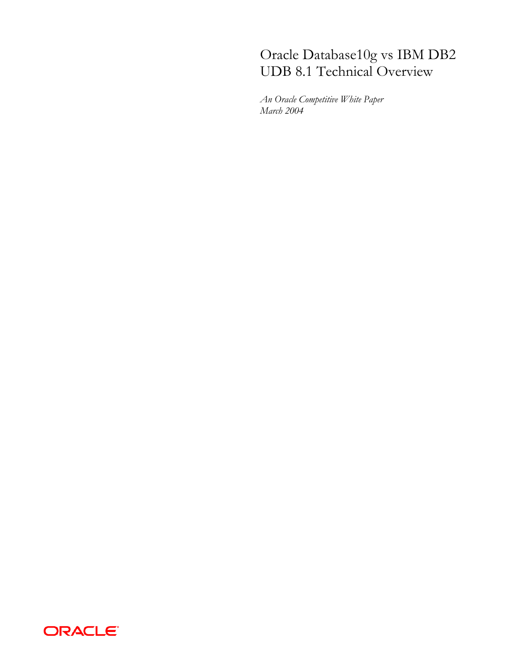# Oracle Database10g vs IBM DB2<br>UDB 8.1 Technical Overview

An Oracle Competitive White Paper March 2004

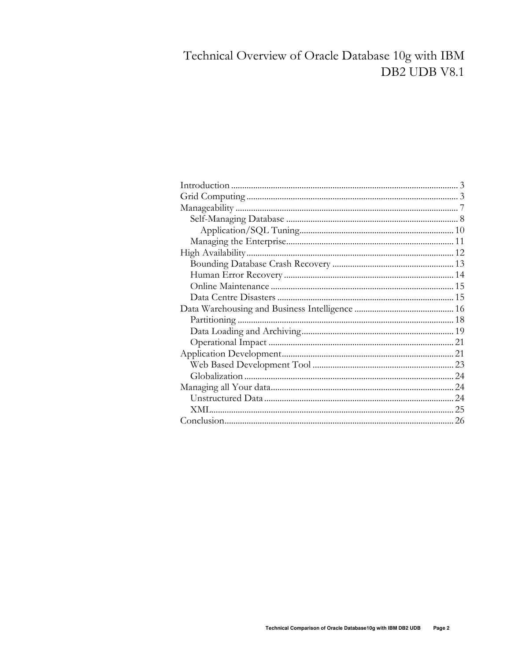# Technical Overview of Oracle Database 10g with IBM DB2 UDB V8.1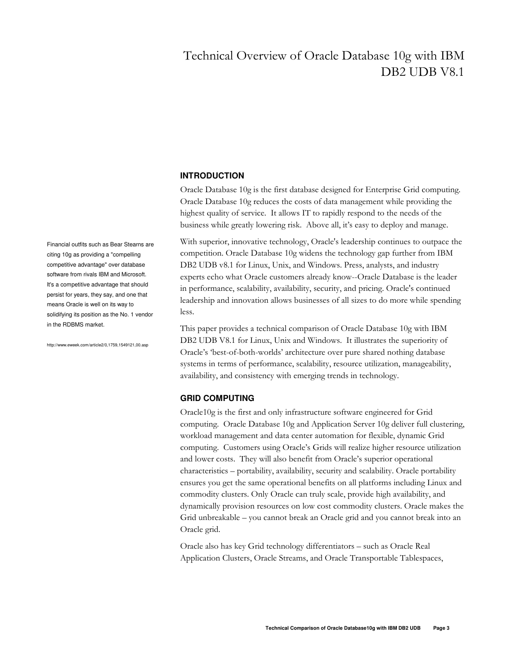# Technical Overview of Oracle Database 10g with IBM DB<sub>2</sub> UDB V<sub>8.1</sub>

# **INTRODUCTION**

Oracle Database 10g is the first database designed for Enterprise Grid computing. Oracle Database 10g reduces the costs of data management while providing the highest quality of service. It allows IT to rapidly respond to the needs of the business while greatly lowering risk. Above all, it's easy to deploy and manage.

With superior, innovative technology, Oracle's leadership continues to outpace the competition. Oracle Database 10g widens the technology gap further from IBM DB2 UDB v8.1 for Linux, Unix, and Windows. Press, analysts, and industry experts echo what Oracle customers already know--Oracle Database is the leader in performance, scalability, availability, security, and pricing. Oracle's continued leadership and innovation allows businesses of all sizes to do more while spending less.

This paper provides a technical comparison of Oracle Database 10g with IBM DB2 UDB V8.1 for Linux, Unix and Windows. It illustrates the superiority of Oracle's 'best-of-both-worlds' architecture over pure shared nothing database systems in terms of performance, scalability, resource utilization, manageability, availability, and consistency with emerging trends in technology.

## **GRID COMPUTING**

Oracle10g is the first and only infrastructure software engineered for Grid computing. Oracle Database 10g and Application Server 10g deliver full clustering, workload management and data center automation for flexible, dynamic Grid computing. Customers using Oracle's Grids will realize higher resource utilization and lower costs. They will also benefit from Oracle's superior operational characteristics – portability, availability, security and scalability. Oracle portability ensures you get the same operational benefits on all platforms including Linux and commodity clusters. Only Oracle can truly scale, provide high availability, and dynamically provision resources on low cost commodity clusters. Oracle makes the Grid unbreakable - you cannot break an Oracle grid and you cannot break into an Oracle grid.

Oracle also has key Grid technology differentiators - such as Oracle Real Application Clusters, Oracle Streams, and Oracle Transportable Tablespaces,

Financial outfits such as Bear Stearns are citing 10g as providing a "compelling competitive advantage" over database software from rivals IBM and Microsoft. It's a competitive advantage that should persist for years, they say, and one that means Oracle is well on its way to solidifying its position as the No. 1 vendor in the RDBMS market.

http://www.eweek.com/article2/0.1759.1549121.00.asp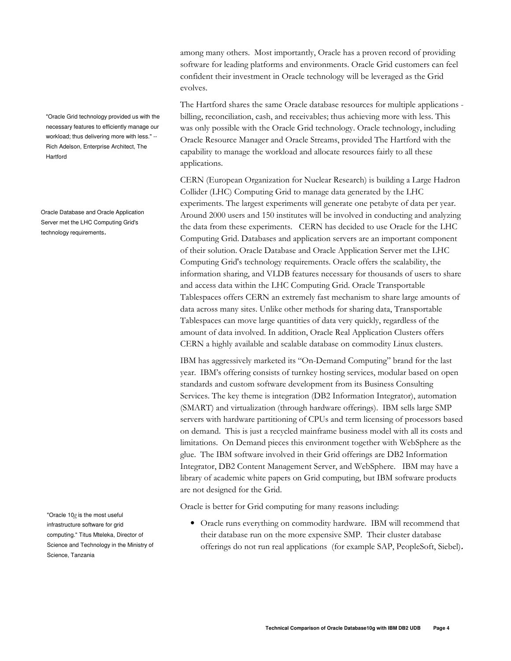"Oracle Grid technology provided us with the necessary features to efficiently manage our workload; thus delivering more with less." --Rich Adelson, Enterprise Architect, The Hartford

Oracle Database and Oracle Application Server met the LHC Computing Grid's technology requirements.

"Oracle  $10g$  is the most useful infrastructure software for grid computing." Titus Mteleka, Director of Science and Technology in the Ministry of Science, Tanzania

among many others. Most importantly, Oracle has a proven record of providing software for leading platforms and environments. Oracle Grid customers can feel confident their investment in Oracle technology will be leveraged as the Grid evolves.

The Hartford shares the same Oracle database resources for multiple applications billing, reconciliation, cash, and receivables; thus achieving more with less. This was only possible with the Oracle Grid technology. Oracle technology, including Oracle Resource Manager and Oracle Streams, provided The Hartford with the capability to manage the workload and allocate resources fairly to all these applications.

CERN (European Organization for Nuclear Research) is building a Large Hadron Collider (LHC) Computing Grid to manage data generated by the LHC experiments. The largest experiments will generate one petabyte of data per year. Around 2000 users and 150 institutes will be involved in conducting and analyzing the data from these experiments. CERN has decided to use Oracle for the LHC Computing Grid. Databases and application servers are an important component of their solution. Oracle Database and Oracle Application Server met the LHC Computing Grid's technology requirements. Oracle offers the scalability, the information sharing, and VLDB features necessary for thousands of users to share and access data within the LHC Computing Grid. Oracle Transportable Tablespaces offers CERN an extremely fast mechanism to share large amounts of data across many sites. Unlike other methods for sharing data, Transportable Tablespaces can move large quantities of data very quickly, regardless of the amount of data involved. In addition, Oracle Real Application Clusters offers CERN a highly available and scalable database on commodity Linux clusters.

IBM has aggressively marketed its "On-Demand Computing" brand for the last year. IBM's offering consists of turnkey hosting services, modular based on open standards and custom software development from its Business Consulting Services. The key theme is integration (DB2 Information Integrator), automation (SMART) and virtualization (through hardware offerings). IBM sells large SMP servers with hardware partitioning of CPUs and term licensing of processors based on demand. This is just a recycled mainframe business model with all its costs and limitations. On Demand pieces this environment together with WebSphere as the glue. The IBM software involved in their Grid offerings are DB2 Information Integrator, DB2 Content Management Server, and WebSphere. IBM may have a library of academic white papers on Grid computing, but IBM software products are not designed for the Grid.

Oracle is better for Grid computing for many reasons including:

• Oracle runs everything on commodity hardware. IBM will recommend that their database run on the more expensive SMP. Their cluster database offerings do not run real applications (for example SAP, PeopleSoft, Siebel).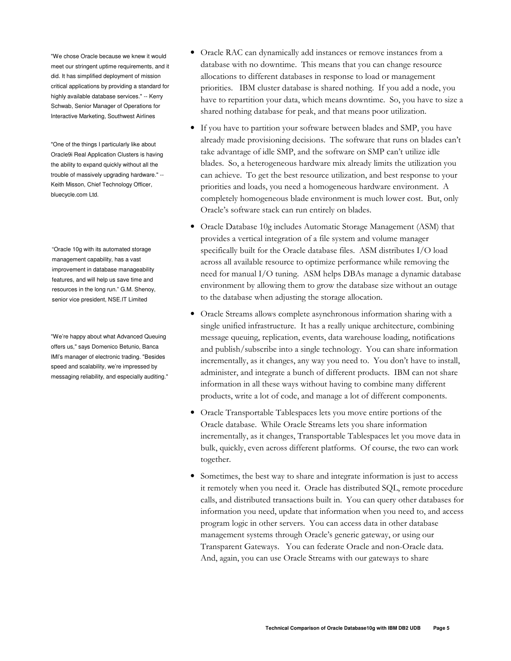"We chose Oracle because we knew it would meet our stringent uptime requirements, and it did. It has simplified deployment of mission critical applications by providing a standard for highly available database services." -- Kerry Schwab, Senior Manager of Operations for Interactive Marketing, Southwest Airlines

"One of the things I particularly like about Oracle9i Real Application Clusters is having the ability to expand quickly without all the trouble of massively upgrading hardware." --Keith Misson, Chief Technology Officer, bluecycle.com Ltd.

"Oracle 10g with its automated storage management capability, has a vast improvement in database manageability features, and will help us save time and resources in the long run." G.M. Shenoy, senior vice president, NSE.IT Limited

"We're happy about what Advanced Queuing offers us," says Domenico Betunio, Banca IMI's manager of electronic trading. "Besides speed and scalability, we're impressed by messaging reliability, and especially auditing."

- Oracle RAC can dynamically add instances or remove instances from a database with no downtime. This means that you can change resource allocations to different databases in response to load or management priorities. IBM cluster database is shared nothing. If you add a node, you have to repartition your data, which means downtime. So, you have to size a shared nothing database for peak, and that means poor utilization.
- If you have to partition your software between blades and SMP, you have already made provisioning decisions. The software that runs on blades can't take advantage of idle SMP, and the software on SMP can't utilize idle blades. So, a heterogeneous hardware mix already limits the utilization you can achieve. To get the best resource utilization, and best response to your priorities and loads, you need a homogeneous hardware environment. A completely homogeneous blade environment is much lower cost. But, only Oracle's software stack can run entirely on blades.
- Oracle Database 10g includes Automatic Storage Management (ASM) that provides a vertical integration of a file system and volume manager specifically built for the Oracle database files. ASM distributes I/O load across all available resource to optimize performance while removing the need for manual I/O tuning. ASM helps DBAs manage a dynamic database environment by allowing them to grow the database size without an outage to the database when adjusting the storage allocation.
- Oracle Streams allows complete asynchronous information sharing with a single unified infrastructure. It has a really unique architecture, combining message queuing, replication, events, data warehouse loading, notifications and publish/subscribe into a single technology. You can share information incrementally, as it changes, any way you need to. You don't have to install, administer, and integrate a bunch of different products. IBM can not share information in all these ways without having to combine many different products, write a lot of code, and manage a lot of different components.
- Oracle Transportable Tablespaces lets you move entire portions of the Oracle database. While Oracle Streams lets you share information incrementally, as it changes, Transportable Tablespaces let you move data in bulk, quickly, even across different platforms. Of course, the two can work together.
- Sometimes, the best way to share and integrate information is just to access it remotely when you need it. Oracle has distributed SQL, remote procedure calls, and distributed transactions built in. You can query other databases for information you need, update that information when you need to, and access program logic in other servers. You can access data in other database management systems through Oracle's generic gateway, or using our Transparent Gateways. You can federate Oracle and non-Oracle data. And, again, you can use Oracle Streams with our gateways to share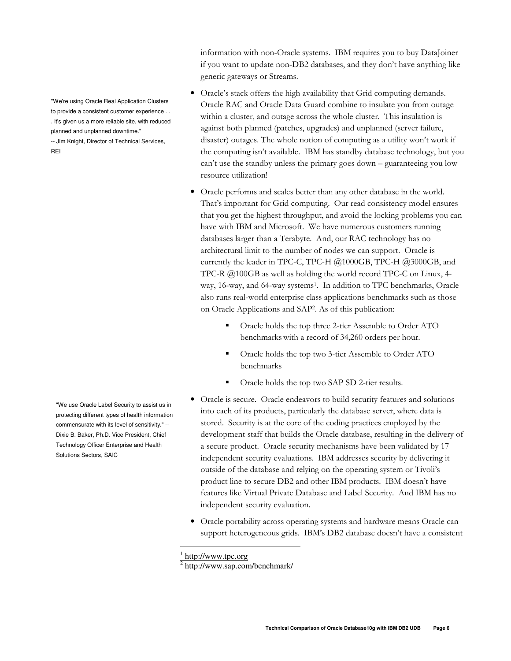information with non-Oracle systems. IBM requires you to buy DataJoiner if you want to update non-DB2 databases, and they don't have anything like generic gateways or Streams.

- · Oracle's stack offers the high availability that Grid computing demands. Oracle RAC and Oracle Data Guard combine to insulate you from outage within a cluster, and outage across the whole cluster. This insulation is against both planned (patches, upgrades) and unplanned (server failure, disaster) outages. The whole notion of computing as a utility won't work if the computing isn't available. IBM has standby database technology, but you can't use the standby unless the primary goes down - guaranteeing you low resource utilization!
- Oracle performs and scales better than any other database in the world. That's important for Grid computing. Our read consistency model ensures that you get the highest throughput, and avoid the locking problems you can have with IBM and Microsoft. We have numerous customers running databases larger than a Terabyte. And, our RAC technology has no architectural limit to the number of nodes we can support. Oracle is currently the leader in TPC-C, TPC-H  $@1000GB$ , TPC-H  $@3000GB$ , and TPC-R  $@100GB$  as well as holding the world record TPC-C on Linux, 4way, 16-way, and 64-way systems<sup>1</sup>. In addition to TPC benchmarks, Oracle also runs real-world enterprise class applications benchmarks such as those on Oracle Applications and SAP<sup>2</sup>. As of this publication:
	- Oracle holds the top three 2-tier Assemble to Order ATO benchmarks with a record of 34,260 orders per hour.
	- Oracle holds the top two 3-tier Assemble to Order ATO benchmarks
	- Oracle holds the top two SAP SD 2-tier results.
- Oracle is secure. Oracle endeavors to build security features and solutions into each of its products, particularly the database server, where data is stored. Security is at the core of the coding practices employed by the development staff that builds the Oracle database, resulting in the delivery of a secure product. Oracle security mechanisms have been validated by 17 independent security evaluations. IBM addresses security by delivering it outside of the database and relying on the operating system or Tivoli's product line to secure DB2 and other IBM products. IBM doesn't have features like Virtual Private Database and Label Security. And IBM has no independent security evaluation.
- · Oracle portability across operating systems and hardware means Oracle can support heterogeneous grids. IBM's DB2 database doesn't have a consistent

"We're using Oracle Real Application Clusters to provide a consistent customer experience . . . It's given us a more reliable site, with reduced planned and unplanned downtime."

-- Jim Knight, Director of Technical Services, REI

"We use Oracle Label Security to assist us in protecting different types of health information commensurate with its level of sensitivity." -- Dixie B. Baker, Ph.D. Vice President, Chief Technology Officer Enterprise and Health Solutions Sectors, SAIC

<sup>&</sup>lt;sup>1</sup> http://www.tpc.org

<sup>&</sup>lt;sup>2</sup> http://www.sap.com/benchmark/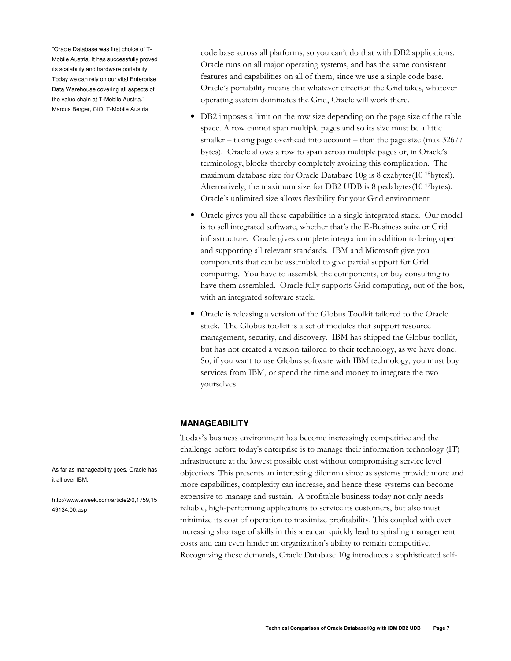"Oracle Database was first choice of T-Mobile Austria. It has successfully proved its scalability and hardware portability. Today we can rely on our vital Enterprise Data Warehouse covering all aspects of the value chain at T-Mobile Austria." Marcus Berger, CIO, T-Mobile Austria

code base across all platforms, so you can't do that with DB2 applications. Oracle runs on all major operating systems, and has the same consistent features and capabilities on all of them, since we use a single code base. Oracle's portability means that whatever direction the Grid takes, whatever operating system dominates the Grid, Oracle will work there.

- DB2 imposes a limit on the row size depending on the page size of the table space. A row cannot span multiple pages and so its size must be a little smaller – taking page overhead into account – than the page size (max  $32677$ ) bytes). Oracle allows a row to span across multiple pages or, in Oracle's terminology, blocks thereby completely avoiding this complication. The maximum database size for Oracle Database 10g is 8 exabytes(10 <sup>18</sup>bytes!). Alternatively, the maximum size for DB2 UDB is 8 pedabytes(10 <sup>12</sup>bytes). Oracle's unlimited size allows flexibility for your Grid environment
- Oracle gives you all these capabilities in a single integrated stack. Our model is to sell integrated software, whether that's the E-Business suite or Grid infrastructure. Oracle gives complete integration in addition to being open and supporting all relevant standards. IBM and Microsoft give you components that can be assembled to give partial support for Grid computing. You have to assemble the components, or buy consulting to have them assembled. Oracle fully supports Grid computing, out of the box, with an integrated software stack.
- Oracle is releasing a version of the Globus Toolkit tailored to the Oracle stack. The Globus toolkit is a set of modules that support resource management, security, and discovery. IBM has shipped the Globus toolkit, but has not created a version tailored to their technology, as we have done. So, if you want to use Globus software with IBM technology, you must buy services from IBM, or spend the time and money to integrate the two yourselves.

## **MANAGEABILITY**

Today's business environment has become increasingly competitive and the challenge before today's enterprise is to manage their information technology (IT) infrastructure at the lowest possible cost without compromising service level objectives. This presents an interesting dilemma since as systems provide more and more capabilities, complexity can increase, and hence these systems can become expensive to manage and sustain. A profitable business today not only needs reliable, high-performing applications to service its customers, but also must minimize its cost of operation to maximize profitability. This coupled with ever increasing shortage of skills in this area can quickly lead to spiraling management costs and can even hinder an organization's ability to remain competitive. Recognizing these demands, Oracle Database 10g introduces a sophisticated self-

As far as manageability goes. Oracle has it all over IBM.

http://www.eweek.com/article2/0,1759,15 49134,00.asp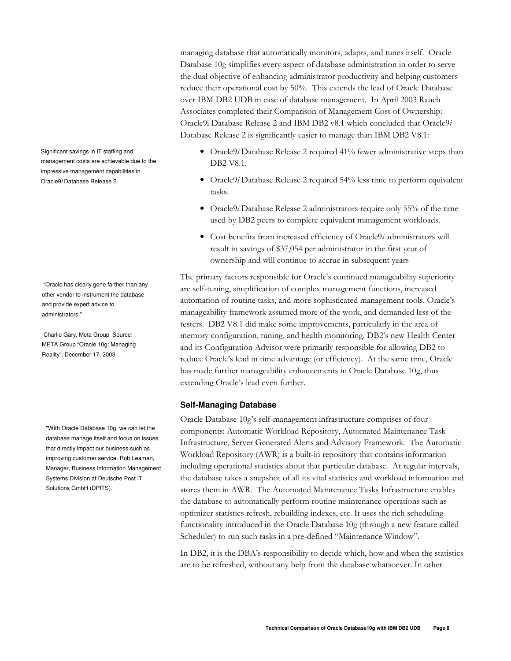managing database that automatically monitors, adapts, and tunes itself. Oracle Database 10g simplifies every aspect of database administration in order to serve the dual objective of enhancing administrator productivity and helping customers reduce their operational cost by 50%. This extends the lead of Oracle Database over IBM DB2 UDB in ease of database management. In April 2003 Rauch Associates completed their Comparison of Management Cost of Ownership: Oracle9i Database Release 2 and IBM DB2 v8.1 which concluded that Oracle9i Database Release 2 is significantly easier to manage than IBM DB2 V8.1:

- Oracle9*i* Database Release 2 required 41% fewer administrative steps than DB2 V8.1.
- Oracle9i Database Release 2 required  $54\%$  less time to perform equivalent tasks.
- Oracle9i Database Release 2 administrators require only 55% of the time used by DB2 peers to complete equivalent management workloads.
- Cost benefits from increased efficiency of Oracle9i administrators will result in savings of \$37,054 per administrator in the first year of ownership and will continue to accrue in subsequent years

The primary factors responsible for Oracle's continued manageability superiority are self-tuning, simplification of complex management functions, increased automation of routine tasks, and more sophisticated management tools. Oracle's manageability framework assumed more of the work, and demanded less of the testers. DB2 V8.1 did make some improvements, particularly in the area of memory configuration, tuning, and health monitoring. DB2's new Health Center and its Configuration Advisor were primarily responsible for allowing DB2 to reduce Oracle's lead in time advantage (or efficiency). At the same time, Oracle has made further manageability enhancements in Oracle Database 10g, thus extending Oracle's lead even further.

## **Self-Managing Database**

Oracle Database 10g's self-management infrastructure comprises of four components: Automatic Workload Repository, Automated Maintenance Task Infrastructure, Server Generated Alerts and Advisory Framework. The Automatic Workload Repository (AWR) is a built-in repository that contains information including operational statistics about that particular database. At regular intervals, the database takes a snapshot of all its vital statistics and workload information and stores them in AWR. The Automated Maintenance Tasks Infrastructure enables the database to automatically perform routine maintenance operations such as optimizer statistics refresh, rebuilding indexes, etc. It uses the rich scheduling functionality introduced in the Oracle Database 10g (through a new feature called Scheduler) to run such tasks in a pre-defined "Maintenance Window".

In DB2, it is the DBA's responsibility to decide which, how and when the statistics are to be refreshed, without any help from the database whatsoever. In other

Significant savings in IT staffing and management costs are achievable due to the impressive management capabilities in Oracle9i Database Release 2.

"Oracle has clearly gone farther than any other vendor to instrument the database and provide expert advice to administrators "

Charlie Gary, Meta Group Source: META Group "Oracle 10g: Managing Reality", December 17, 2003

"With Oracle Database 10g, we can let the database manage itself and focus on issues that directly impact our business such as improving customer service. Rob Leaman, Manager, Business Information Management Systems Division at Deutsche Post IT Solutions GmbH (DPITS).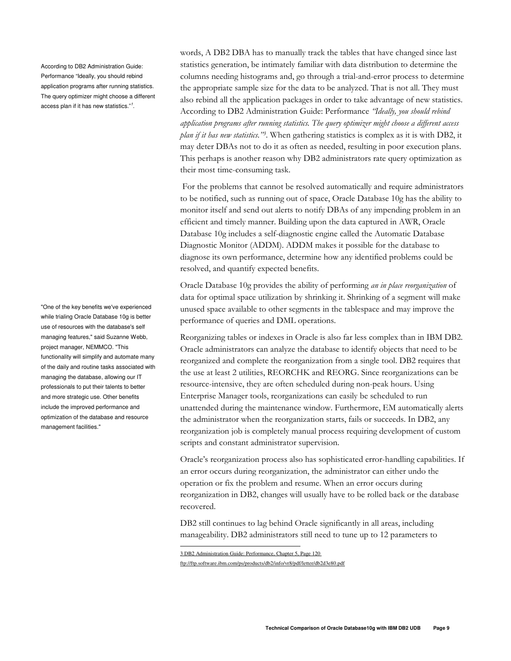According to DB2 Administration Guide: Performance "Ideally, you should rebind application programs after running statistics. The query optimizer might choose a different access plan if it has new statistics."<sup>1</sup>.

"One of the key benefits we've experienced while trialing Oracle Database 10g is better use of resources with the database's self managing features," said Suzanne Webb, project manager, NEMMCO. "This functionality will simplify and automate many of the daily and routine tasks associated with managing the database, allowing our IT professionals to put their talents to better and more strategic use. Other benefits include the improved performance and optimization of the database and resource management facilities."

words, A DB2 DBA has to manually track the tables that have changed since last statistics generation, be intimately familiar with data distribution to determine the columns needing histograms and, go through a trial-and-error process to determine the appropriate sample size for the data to be analyzed. That is not all. They must also rebind all the application packages in order to take advantage of new statistics. According to DB2 Administration Guide: Performance "Ideally, you should rebind application programs after running statistics. The query optimizer might choose a different access plan if it has new statistics."<sup>3</sup>. When gathering statistics is complex as it is with DB2, it may deter DBAs not to do it as often as needed, resulting in poor execution plans. This perhaps is another reason why DB2 administrators rate query optimization as their most time-consuming task.

For the problems that cannot be resolved automatically and require administrators to be notified, such as running out of space, Oracle Database 10g has the ability to monitor itself and send out alerts to notify DBAs of any impending problem in an efficient and timely manner. Building upon the data captured in AWR, Oracle Database 10g includes a self-diagnostic engine called the Automatic Database Diagnostic Monitor (ADDM). ADDM makes it possible for the database to diagnose its own performance, determine how any identified problems could be resolved, and quantify expected benefits.

Oracle Database 10g provides the ability of performing an in place reorganization of data for optimal space utilization by shrinking it. Shrinking of a segment will make unused space available to other segments in the tablespace and may improve the performance of queries and DML operations.

Reorganizing tables or indexes in Oracle is also far less complex than in IBM DB2. Oracle administrators can analyze the database to identify objects that need to be reorganized and complete the reorganization from a single tool. DB2 requires that the use at least 2 utilities, REORCHK and REORG. Since reorganizations can be resource-intensive, they are often scheduled during non-peak hours. Using Enterprise Manager tools, reorganizations can easily be scheduled to run unattended during the maintenance window. Furthermore, EM automatically alerts the administrator when the reorganization starts, fails or succeeds. In DB2, any reorganization job is completely manual process requiring development of custom scripts and constant administrator supervision.

Oracle's reorganization process also has sophisticated error-handling capabilities. If an error occurs during reorganization, the administrator can either undo the operation or fix the problem and resume. When an error occurs during reorganization in DB2, changes will usually have to be rolled back or the database recovered.

DB2 still continues to lag behind Oracle significantly in all areas, including manageability. DB2 administrators still need to tune up to 12 parameters to

ftp://ftp.software.ibm.com/ps/products/db2/info/vr8/pdf/letter/db2d3e80.pdf

<sup>3</sup> DB2 Administration Guide: Performance, Chapter 5, Page 120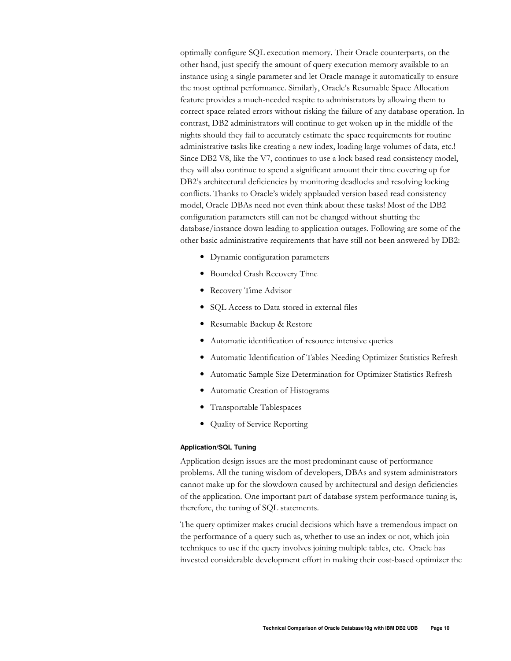optimally configure SQL execution memory. Their Oracle counterparts, on the other hand, just specify the amount of query execution memory available to an instance using a single parameter and let Oracle manage it automatically to ensure the most optimal performance. Similarly, Oracle's Resumable Space Allocation feature provides a much-needed respite to administrators by allowing them to correct space related errors without risking the failure of any database operation. In contrast, DB2 administrators will continue to get woken up in the middle of the nights should they fail to accurately estimate the space requirements for routine administrative tasks like creating a new index, loading large volumes of data, etc.! Since DB2 V8, like the V7, continues to use a lock based read consistency model, they will also continue to spend a significant amount their time covering up for DB2's architectural deficiencies by monitoring deadlocks and resolving locking conflicts. Thanks to Oracle's widely applauded version based read consistency model, Oracle DBAs need not even think about these tasks! Most of the DB2 configuration parameters still can not be changed without shutting the database/instance down leading to application outages. Following are some of the other basic administrative requirements that have still not been answered by DB2:

- Dynamic configuration parameters
- Bounded Crash Recovery Time
- Recovery Time Advisor
- SQL Access to Data stored in external files
- Resumable Backup & Restore
- Automatic identification of resource intensive queries
- Automatic Identification of Tables Needing Optimizer Statistics Refresh
- Automatic Sample Size Determination for Optimizer Statistics Refresh
- Automatic Creation of Histograms
- Transportable Tablespaces
- $\bullet$ Quality of Service Reporting

#### **Application/SQL Tuning**

Application design issues are the most predominant cause of performance problems. All the tuning wisdom of developers, DBAs and system administrators cannot make up for the slowdown caused by architectural and design deficiencies of the application. One important part of database system performance tuning is, therefore, the tuning of SQL statements.

The query optimizer makes crucial decisions which have a tremendous impact on the performance of a query such as, whether to use an index or not, which join techniques to use if the query involves joining multiple tables, etc. Oracle has invested considerable development effort in making their cost-based optimizer the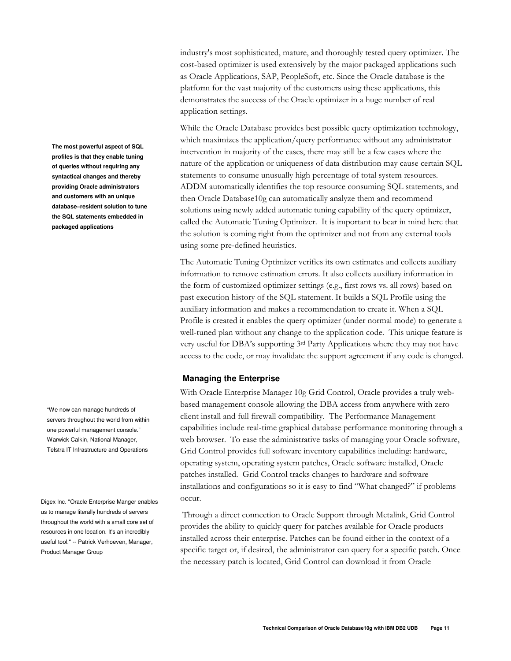The most powerful aspect of SQL profiles is that they enable tuning of queries without requiring any syntactical changes and thereby providing Oracle administrators and customers with an unique database-resident solution to tune the SQL statements embedded in packaged applications

"We now can manage hundreds of servers throughout the world from within one powerful management console." Warwick Calkin, National Manager, Telstra IT Infrastructure and Operations

Digex Inc. "Oracle Enterprise Manger enables us to manage literally hundreds of servers throughout the world with a small core set of resources in one location. It's an incredibly useful tool." -- Patrick Verhoeven, Manager, Product Manager Group

industry's most sophisticated, mature, and thoroughly tested query optimizer. The cost-based optimizer is used extensively by the major packaged applications such as Oracle Applications, SAP, PeopleSoft, etc. Since the Oracle database is the platform for the vast majority of the customers using these applications, this demonstrates the success of the Oracle optimizer in a huge number of real application settings.

While the Oracle Database provides best possible query optimization technology, which maximizes the application/query performance without any administrator intervention in majority of the cases, there may still be a few cases where the nature of the application or uniqueness of data distribution may cause certain SQL statements to consume unusually high percentage of total system resources. ADDM automatically identifies the top resource consuming SQL statements, and then Oracle Database10g can automatically analyze them and recommend solutions using newly added automatic tuning capability of the query optimizer, called the Automatic Tuning Optimizer. It is important to bear in mind here that the solution is coming right from the optimizer and not from any external tools using some pre-defined heuristics.

The Automatic Tuning Optimizer verifies its own estimates and collects auxiliary information to remove estimation errors. It also collects auxiliary information in the form of customized optimizer settings (e.g., first rows vs. all rows) based on past execution history of the SQL statement. It builds a SQL Profile using the auxiliary information and makes a recommendation to create it. When a SQL Profile is created it enables the query optimizer (under normal mode) to generate a well-tuned plan without any change to the application code. This unique feature is very useful for DBA's supporting 3rd Party Applications where they may not have access to the code, or may invalidate the support agreement if any code is changed.

## **Managing the Enterprise**

With Oracle Enterprise Manager 10g Grid Control, Oracle provides a truly webbased management console allowing the DBA access from anywhere with zero client install and full firewall compatibility. The Performance Management capabilities include real-time graphical database performance monitoring through a web browser. To ease the administrative tasks of managing your Oracle software, Grid Control provides full software inventory capabilities including: hardware, operating system, operating system patches, Oracle software installed, Oracle patches installed. Grid Control tracks changes to hardware and software installations and configurations so it is easy to find "What changed?" if problems occur.

Through a direct connection to Oracle Support through Metalink, Grid Control provides the ability to quickly query for patches available for Oracle products installed across their enterprise. Patches can be found either in the context of a specific target or, if desired, the administrator can query for a specific patch. Once the necessary patch is located, Grid Control can download it from Oracle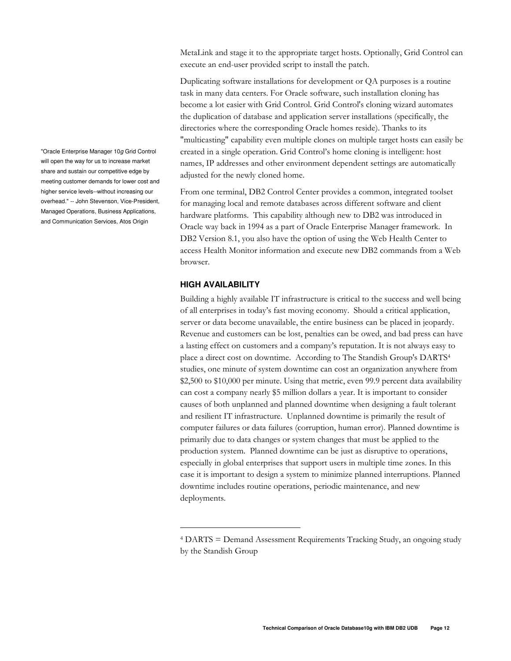MetaLink and stage it to the appropriate target hosts. Optionally, Grid Control can execute an end-user provided script to install the patch.

Duplicating software installations for development or QA purposes is a routine task in many data centers. For Oracle software, such installation cloning has become a lot easier with Grid Control. Grid Control's cloning wizard automates the duplication of database and application server installations (specifically, the directories where the corresponding Oracle homes reside). Thanks to its "multicasting" capability even multiple clones on multiple target hosts can easily be created in a single operation. Grid Control's home cloning is intelligent: host names, IP addresses and other environment dependent settings are automatically adjusted for the newly cloned home.

From one terminal, DB2 Control Center provides a common, integrated toolset for managing local and remote databases across different software and client hardware platforms. This capability although new to DB2 was introduced in Oracle way back in 1994 as a part of Oracle Enterprise Manager framework. In DB2 Version 8.1, you also have the option of using the Web Health Center to access Health Monitor information and execute new DB2 commands from a Web browser.

# **HIGH AVAILABILITY**

Building a highly available IT infrastructure is critical to the success and well being of all enterprises in today's fast moving economy. Should a critical application, server or data become unavailable, the entire business can be placed in jeopardy. Revenue and customers can be lost, penalties can be owed, and bad press can have a lasting effect on customers and a company's reputation. It is not always easy to place a direct cost on downtime. According to The Standish Group's DARTS<sup>4</sup> studies, one minute of system downtime can cost an organization anywhere from \$2,500 to \$10,000 per minute. Using that metric, even 99.9 percent data availability can cost a company nearly \$5 million dollars a year. It is important to consider causes of both unplanned and planned downtime when designing a fault tolerant and resilient IT infrastructure. Unplanned downtime is primarily the result of computer failures or data failures (corruption, human error). Planned downtime is primarily due to data changes or system changes that must be applied to the production system. Planned downtime can be just as disruptive to operations, especially in global enterprises that support users in multiple time zones. In this case it is important to design a system to minimize planned interruptions. Planned downtime includes routine operations, periodic maintenance, and new deployments.

"Oracle Enterprise Manager 10g Grid Control will open the way for us to increase market share and sustain our competitive edge by meeting customer demands for lower cost and higher service levels--without increasing our overhead." -- John Stevenson, Vice-President, Managed Operations, Business Applications, and Communication Services, Atos Origin

<sup>&</sup>lt;sup>4</sup> DARTS = Demand Assessment Requirements Tracking Study, an ongoing study by the Standish Group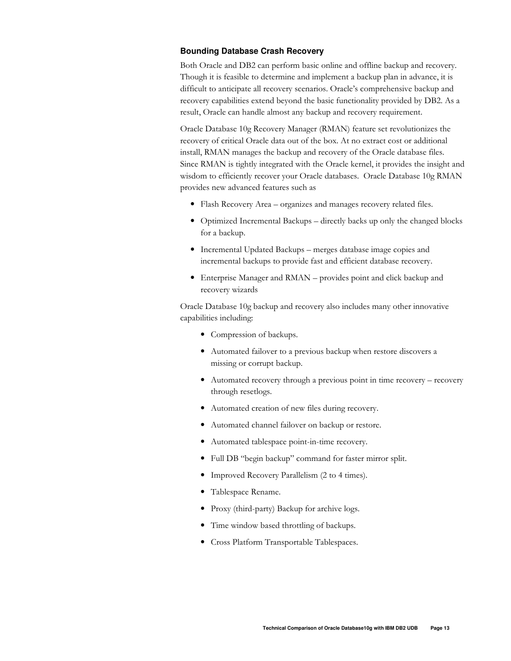# **Bounding Database Crash Recovery**

Both Oracle and DB2 can perform basic online and offline backup and recovery. Though it is feasible to determine and implement a backup plan in advance, it is difficult to anticipate all recovery scenarios. Oracle's comprehensive backup and recovery capabilities extend beyond the basic functionality provided by DB2. As a result, Oracle can handle almost any backup and recovery requirement.

Oracle Database 10g Recovery Manager (RMAN) feature set revolutionizes the recovery of critical Oracle data out of the box. At no extract cost or additional install, RMAN manages the backup and recovery of the Oracle database files. Since RMAN is tightly integrated with the Oracle kernel, it provides the insight and wisdom to efficiently recover your Oracle databases. Oracle Database 10g RMAN provides new advanced features such as

- Flash Recovery Area organizes and manages recovery related files.
- Optimized Incremental Backups directly backs up only the changed blocks for a backup.
- Incremental Updated Backups merges database image copies and incremental backups to provide fast and efficient database recovery.
- Enterprise Manager and RMAN provides point and click backup and recovery wizards

Oracle Database 10g backup and recovery also includes many other innovative capabilities including:

- Compression of backups.
- Automated failover to a previous backup when restore discovers a missing or corrupt backup.
- Automated recovery through a previous point in time recovery recovery through resetlogs.
- Automated creation of new files during recovery.
- $\bullet$ Automated channel failover on backup or restore.
- Automated tablespace point-in-time recovery.  $\bullet$
- · Full DB "begin backup" command for faster mirror split.
- Improved Recovery Parallelism (2 to 4 times).
- Tablespace Rename.
- Proxy (third-party) Backup for archive logs.
- Time window based throttling of backups.
- Cross Platform Transportable Tablespaces.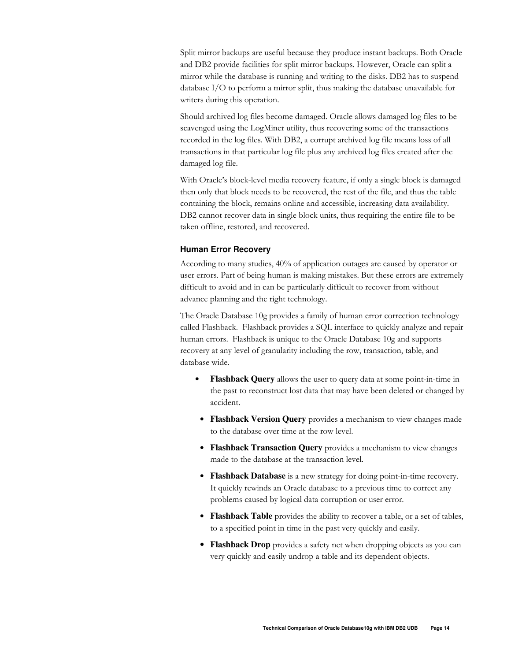Split mirror backups are useful because they produce instant backups. Both Oracle and DB2 provide facilities for split mirror backups. However, Oracle can split a mirror while the database is running and writing to the disks. DB2 has to suspend database  $I/O$  to perform a mirror split, thus making the database unavailable for writers during this operation.

Should archived log files become damaged. Oracle allows damaged log files to be scavenged using the LogMiner utility, thus recovering some of the transactions recorded in the log files. With DB2, a corrupt archived log file means loss of all transactions in that particular log file plus any archived log files created after the damaged log file.

With Oracle's block-level media recovery feature, if only a single block is damaged then only that block needs to be recovered, the rest of the file, and thus the table containing the block, remains online and accessible, increasing data availability. DB2 cannot recover data in single block units, thus requiring the entire file to be taken offline, restored, and recovered.

## **Human Error Recovery**

According to many studies, 40% of application outages are caused by operator or user errors. Part of being human is making mistakes. But these errors are extremely difficult to avoid and in can be particularly difficult to recover from without advance planning and the right technology.

The Oracle Database 10g provides a family of human error correction technology called Flashback. Flashback provides a SQL interface to quickly analyze and repair human errors. Flashback is unique to the Oracle Database 10g and supports recovery at any level of granularity including the row, transaction, table, and database wide.

- Flashback Query allows the user to query data at some point-in-time in the past to reconstruct lost data that may have been deleted or changed by accident.
- Flashback Version Query provides a mechanism to view changes made to the database over time at the row level.
- Flashback Transaction Query provides a mechanism to view changes made to the database at the transaction level.
- Flashback Database is a new strategy for doing point-in-time recovery. It quickly rewinds an Oracle database to a previous time to correct any problems caused by logical data corruption or user error.
- Flashback Table provides the ability to recover a table, or a set of tables, to a specified point in time in the past very quickly and easily.
- Flashback Drop provides a safety net when dropping objects as you can very quickly and easily undrop a table and its dependent objects.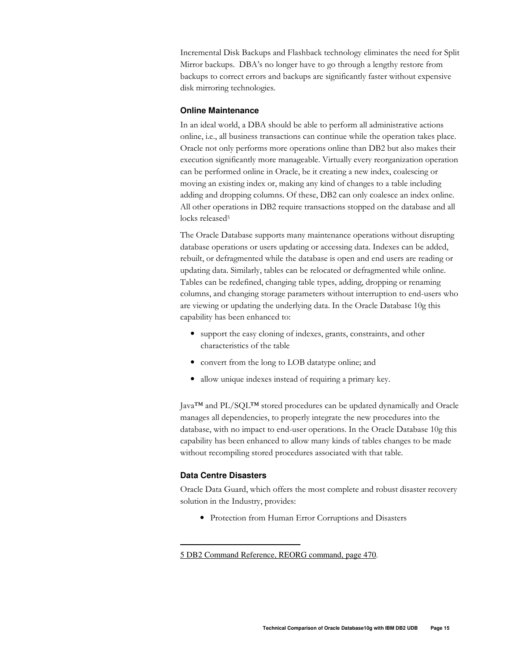Incremental Disk Backups and Flashback technology eliminates the need for Split Mirror backups. DBA's no longer have to go through a lengthy restore from backups to correct errors and backups are significantly faster without expensive disk mirroring technologies.

# **Online Maintenance**

In an ideal world, a DBA should be able to perform all administrative actions online, i.e., all business transactions can continue while the operation takes place. Oracle not only performs more operations online than DB2 but also makes their execution significantly more manageable. Virtually every reorganization operation can be performed online in Oracle, be it creating a new index, coalescing or moving an existing index or, making any kind of changes to a table including adding and dropping columns. Of these, DB2 can only coalesce an index online. All other operations in DB2 require transactions stopped on the database and all locks released<sup>5</sup>

The Oracle Database supports many maintenance operations without disrupting database operations or users updating or accessing data. Indexes can be added, rebuilt, or defragmented while the database is open and end users are reading or updating data. Similarly, tables can be relocated or defragmented while online. Tables can be redefined, changing table types, adding, dropping or renaming columns, and changing storage parameters without interruption to end-users who are viewing or updating the underlying data. In the Oracle Database 10g this capability has been enhanced to:

- support the easy cloning of indexes, grants, constraints, and other characteristics of the table
- convert from the long to LOB datatype online; and
- allow unique indexes instead of requiring a primary key.

Java™ and PL/SQL™ stored procedures can be updated dynamically and Oracle manages all dependencies, to properly integrate the new procedures into the database, with no impact to end-user operations. In the Oracle Database 10g this capability has been enhanced to allow many kinds of tables changes to be made without recompiling stored procedures associated with that table.

# **Data Centre Disasters**

Oracle Data Guard, which offers the most complete and robust disaster recovery solution in the Industry, provides:

• Protection from Human Error Corruptions and Disasters

<sup>5</sup> DB2 Command Reference, REORG command, page 470.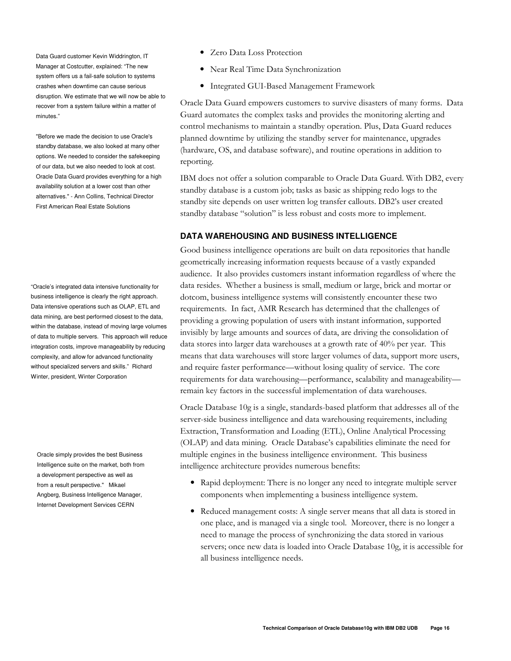Data Guard customer Kevin Widdrington, IT Manager at Costcutter, explained: "The new system offers us a fail-safe solution to systems crashes when downtime can cause serious disruption. We estimate that we will now be able to recover from a system failure within a matter of minutes."

"Before we made the decision to use Oracle's standby database, we also looked at many other options. We needed to consider the safekeeping of our data, but we also needed to look at cost. Oracle Data Guard provides everything for a high availability solution at a lower cost than other alternatives." - Ann Collins, Technical Director First American Real Estate Solutions

"Oracle's integrated data intensive functionality for business intelligence is clearly the right approach. Data intensive operations such as OLAP, ETL and data mining, are best performed closest to the data, within the database, instead of moving large volumes of data to multiple servers. This approach will reduce integration costs, improve manageability by reducing complexity, and allow for advanced functionality without specialized servers and skills." Richard Winter, president, Winter Corporation

Oracle simply provides the best Business Intelligence suite on the market, both from a development perspective as well as from a result perspective." Mikael Angberg, Business Intelligence Manager, Internet Development Services CERN

- Zero Data Loss Protection
- Near Real Time Data Synchronization
- Integrated GUI-Based Management Framework

Oracle Data Guard empowers customers to survive disasters of many forms. Data Guard automates the complex tasks and provides the monitoring alerting and control mechanisms to maintain a standby operation. Plus, Data Guard reduces planned downtime by utilizing the standby server for maintenance, upgrades (hardware, OS, and database software), and routine operations in addition to reporting.

IBM does not offer a solution comparable to Oracle Data Guard. With DB2, every standby database is a custom job; tasks as basic as shipping redo logs to the standby site depends on user written log transfer callouts. DB2's user created standby database "solution" is less robust and costs more to implement.

# **DATA WAREHOUSING AND BUSINESS INTELLIGENCE**

Good business intelligence operations are built on data repositories that handle geometrically increasing information requests because of a vastly expanded audience. It also provides customers instant information regardless of where the data resides. Whether a business is small, medium or large, brick and mortar or dotcom, business intelligence systems will consistently encounter these two requirements. In fact, AMR Research has determined that the challenges of providing a growing population of users with instant information, supported invisibly by large amounts and sources of data, are driving the consolidation of data stores into larger data warehouses at a growth rate of 40% per year. This means that data warehouses will store larger volumes of data, support more users, and require faster performance—without losing quality of service. The core requirements for data warehousing—performance, scalability and manageability remain key factors in the successful implementation of data warehouses.

Oracle Database 10g is a single, standards-based platform that addresses all of the server-side business intelligence and data warehousing requirements, including Extraction, Transformation and Loading (ETL), Online Analytical Processing (OLAP) and data mining. Oracle Database's capabilities eliminate the need for multiple engines in the business intelligence environment. This business intelligence architecture provides numerous benefits:

- Rapid deployment: There is no longer any need to integrate multiple server components when implementing a business intelligence system.
- Reduced management costs: A single server means that all data is stored in one place, and is managed via a single tool. Moreover, there is no longer a need to manage the process of synchronizing the data stored in various servers; once new data is loaded into Oracle Database 10g, it is accessible for all business intelligence needs.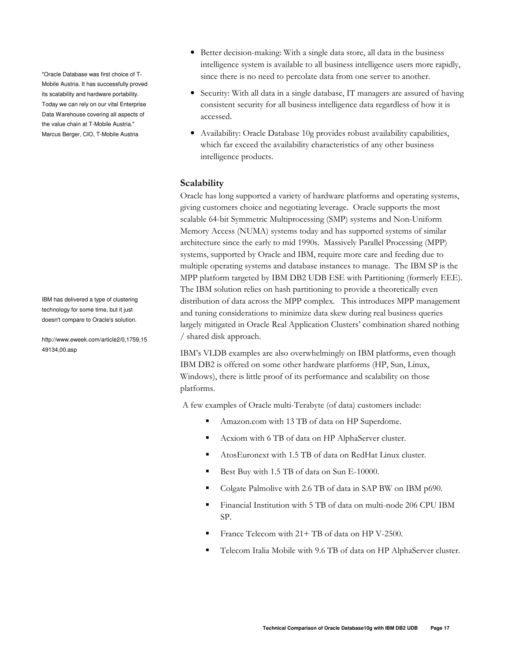"Oracle Database was first choice of T-Mobile Austria. It has successfully proved its scalability and hardware portability. Today we can rely on our vital Enterprise Data Warehouse covering all aspects of the value chain at T-Mobile Austria." Marcus Berger, CIO, T-Mobile Austria

IBM has delivered a type of clustering technology for some time, but it just doesn't compare to Oracle's solution.

http://www.eweek.com/article2/0,1759,15 49134,00.asp

- Better decision-making: With a single data store, all data in the business intelligence system is available to all business intelligence users more rapidly, since there is no need to percolate data from one server to another.
- Security: With all data in a single database, IT managers are assured of having consistent security for all business intelligence data regardless of how it is accessed.
- Availability: Oracle Database 10g provides robust availability capabilities, which far exceed the availability characteristics of any other business intelligence products.

# Scalability

Oracle has long supported a variety of hardware platforms and operating systems, giving customers choice and negotiating leverage. Oracle supports the most scalable 64-bit Symmetric Multiprocessing (SMP) systems and Non-Uniform Memory Access (NUMA) systems today and has supported systems of similar architecture since the early to mid 1990s. Massively Parallel Processing (MPP) systems, supported by Oracle and IBM, require more care and feeding due to multiple operating systems and database instances to manage. The IBM SP is the MPP platform targeted by IBM DB2 UDB ESE with Partitioning (formerly EEE). The IBM solution relies on hash partitioning to provide a theoretically even distribution of data across the MPP complex. This introduces MPP management and tuning considerations to minimize data skew during real business queries largely mitigated in Oracle Real Application Clusters' combination shared nothing / shared disk approach.

IBM's VLDB examples are also overwhelmingly on IBM platforms, even though IBM DB2 is offered on some other hardware platforms (HP, Sun, Linux, Windows), there is little proof of its performance and scalability on those platforms.

A few examples of Oracle multi-Terabyte (of data) customers include:

- Amazon.com with 13 TB of data on HP Superdome.
- Acxiom with 6 TB of data on HP AlphaServer cluster. п
- AtosEuronext with 1.5 TB of data on RedHat Linux cluster.
- Best Buy with 1.5 TB of data on Sun E-10000.
- Colgate Palmolive with 2.6 TB of data in SAP BW on IBM p690.
- Financial Institution with 5 TB of data on multi-node 206 CPU IBM SP.
- France Telecom with 21+ TB of data on HP V-2500.
- Telecom Italia Mobile with 9.6 TB of data on HP AlphaServer cluster.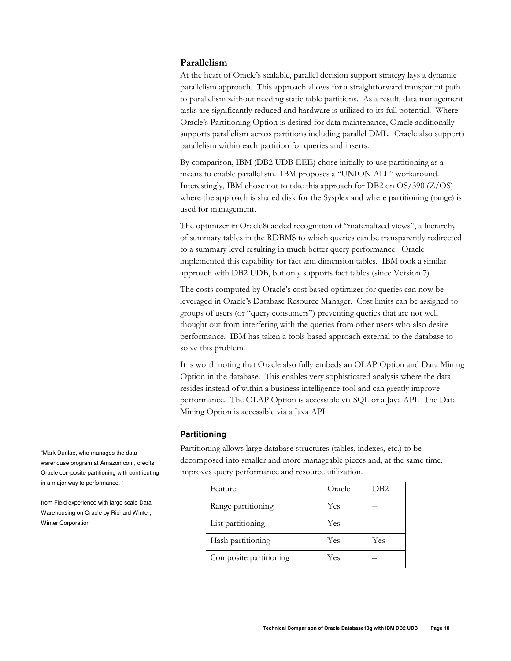## Parallelism

At the heart of Oracle's scalable, parallel decision support strategy lays a dynamic parallelism approach. This approach allows for a straightforward transparent path to parallelism without needing static table partitions. As a result, data management tasks are significantly reduced and hardware is utilized to its full potential. Where Oracle's Partitioning Option is desired for data maintenance, Oracle additionally supports parallelism across partitions including parallel DML. Oracle also supports parallelism within each partition for queries and inserts.

By comparison, IBM (DB2 UDB EEE) chose initially to use partitioning as a means to enable parallelism. IBM proposes a "UNION ALL" workaround. Interestingly, IBM chose not to take this approach for DB2 on  $OS/390$  (Z/OS) where the approach is shared disk for the Sysplex and where partitioning (range) is used for management.

The optimizer in Oracle8i added recognition of "materialized views", a hierarchy of summary tables in the RDBMS to which queries can be transparently redirected to a summary level resulting in much better query performance. Oracle implemented this capability for fact and dimension tables. IBM took a similar approach with DB2 UDB, but only supports fact tables (since Version 7).

The costs computed by Oracle's cost based optimizer for queries can now be leveraged in Oracle's Database Resource Manager. Cost limits can be assigned to groups of users (or "query consumers") preventing queries that are not well thought out from interfering with the queries from other users who also desire performance. IBM has taken a tools based approach external to the database to solve this problem.

It is worth noting that Oracle also fully embeds an OLAP Option and Data Mining Option in the database. This enables very sophisticated analysis where the data resides instead of within a business intelligence tool and can greatly improve performance. The OLAP Option is accessible via SQL or a Java API. The Data Mining Option is accessible via a Java API.

## Partitioning

Partitioning allows large database structures (tables, indexes, etc.) to be decomposed into smaller and more manageable pieces and, at the same time, improves query performance and resource utilization.

| Feature                | Oracle | DB2 |
|------------------------|--------|-----|
| Range partitioning     | Yes    |     |
| List partitioning      | Yes    |     |
| Hash partitioning      | Yes    | Yes |
| Composite partitioning | Yes    |     |

"Mark Dunlap, who manages the data warehouse program at Amazon.com, credits Oracle composite partitioning with contributing in a major way to performance. "

from Field experience with large scale Data Warehousing on Oracle by Richard Winter, Winter Corporation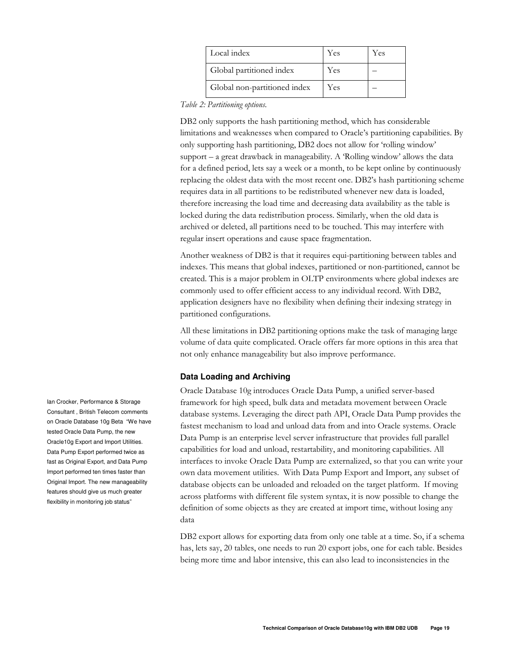| Local index                  | Yes | Yes |
|------------------------------|-----|-----|
| Global partitioned index     | Yes |     |
| Global non-partitioned index | Yes |     |

Table 2: Partitioning options.

DB2 only supports the hash partitioning method, which has considerable limitations and weaknesses when compared to Oracle's partitioning capabilities. By only supporting hash partitioning, DB2 does not allow for 'rolling window' support – a great drawback in manageability. A 'Rolling window' allows the data for a defined period, lets say a week or a month, to be kept online by continuously replacing the oldest data with the most recent one. DB2's hash partitioning scheme requires data in all partitions to be redistributed whenever new data is loaded, therefore increasing the load time and decreasing data availability as the table is locked during the data redistribution process. Similarly, when the old data is archived or deleted, all partitions need to be touched. This may interfere with regular insert operations and cause space fragmentation.

Another weakness of DB2 is that it requires equi-partitioning between tables and indexes. This means that global indexes, partitioned or non-partitioned, cannot be created. This is a major problem in OLTP environments where global indexes are commonly used to offer efficient access to any individual record. With DB2, application designers have no flexibility when defining their indexing strategy in partitioned configurations.

All these limitations in DB2 partitioning options make the task of managing large volume of data quite complicated. Oracle offers far more options in this area that not only enhance manageability but also improve performance.

# **Data Loading and Archiving**

Oracle Database 10g introduces Oracle Data Pump, a unified server-based framework for high speed, bulk data and metadata movement between Oracle database systems. Leveraging the direct path API, Oracle Data Pump provides the fastest mechanism to load and unload data from and into Oracle systems. Oracle Data Pump is an enterprise level server infrastructure that provides full parallel capabilities for load and unload, restartability, and monitoring capabilities. All interfaces to invoke Oracle Data Pump are externalized, so that you can write your own data movement utilities. With Data Pump Export and Import, any subset of database objects can be unloaded and reloaded on the target platform. If moving across platforms with different file system syntax, it is now possible to change the definition of some objects as they are created at import time, without losing any data

DB2 export allows for exporting data from only one table at a time. So, if a schema has, lets say, 20 tables, one needs to run 20 export jobs, one for each table. Besides being more time and labor intensive, this can also lead to inconsistencies in the

lan Crocker, Performance & Storage Consultant, British Telecom comments on Oracle Database 10g Beta "We have tested Oracle Data Pump, the new Oracle10g Export and Import Utilities. Data Pump Export performed twice as fast as Original Export, and Data Pump Import performed ten times faster than Original Import. The new manageability features should give us much greater flexibility in monitoring job status"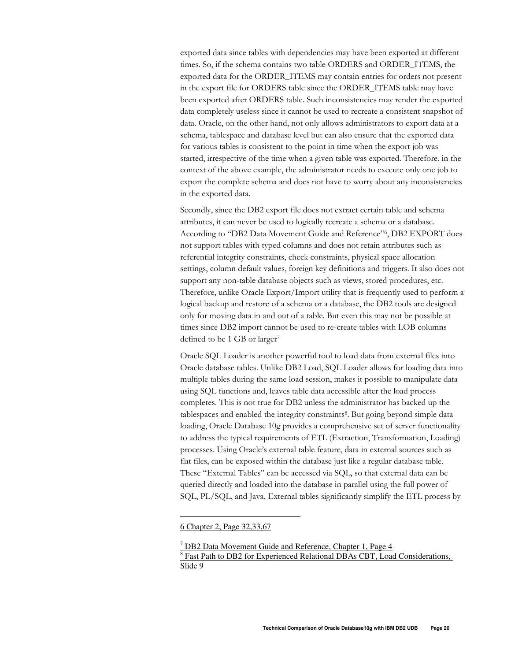exported data since tables with dependencies may have been exported at different times. So, if the schema contains two table ORDERS and ORDER\_ITEMS, the exported data for the ORDER\_ITEMS may contain entries for orders not present in the export file for ORDERS table since the ORDER ITEMS table may have been exported after ORDERS table. Such inconsistencies may render the exported data completely useless since it cannot be used to recreate a consistent snapshot of data. Oracle, on the other hand, not only allows administrators to export data at a schema, tablespace and database level but can also ensure that the exported data for various tables is consistent to the point in time when the export job was started, irrespective of the time when a given table was exported. Therefore, in the context of the above example, the administrator needs to execute only one job to export the complete schema and does not have to worry about any inconsistencies in the exported data.

Secondly, since the DB2 export file does not extract certain table and schema attributes, it can never be used to logically recreate a schema or a database. According to "DB2 Data Movement Guide and Reference"6, DB2 EXPORT does not support tables with typed columns and does not retain attributes such as referential integrity constraints, check constraints, physical space allocation settings, column default values, foreign key definitions and triggers. It also does not support any non-table database objects such as views, stored procedures, etc. Therefore, unlike Oracle Export/Import utility that is frequently used to perform a logical backup and restore of a schema or a database, the DB2 tools are designed only for moving data in and out of a table. But even this may not be possible at times since DB2 import cannot be used to re-create tables with LOB columns defined to be 1 GB or larger<sup>7</sup>

Oracle SQL Loader is another powerful tool to load data from external files into Oracle database tables. Unlike DB2 Load, SQL Loader allows for loading data into multiple tables during the same load session, makes it possible to manipulate data using SQL functions and, leaves table data accessible after the load process completes. This is not true for DB2 unless the administrator has backed up the tablespaces and enabled the integrity constraints<sup>8</sup>. But going beyond simple data loading, Oracle Database 10g provides a comprehensive set of server functionality to address the typical requirements of ETL (Extraction, Transformation, Loading) processes. Using Oracle's external table feature, data in external sources such as flat files, can be exposed within the database just like a regular database table. These "External Tables" can be accessed via SQL, so that external data can be queried directly and loaded into the database in parallel using the full power of SQL, PL/SQL, and Java. External tables significantly simplify the ETL process by

<sup>6</sup> Chapter 2, Page 32,33,67

<sup>&</sup>lt;sup>7</sup> DB2 Data Movement Guide and Reference, Chapter 1, Page 4 <sup>8</sup> Fast Path to DB2 for Experienced Relational DBAs CBT, Load Considerations, Slide 9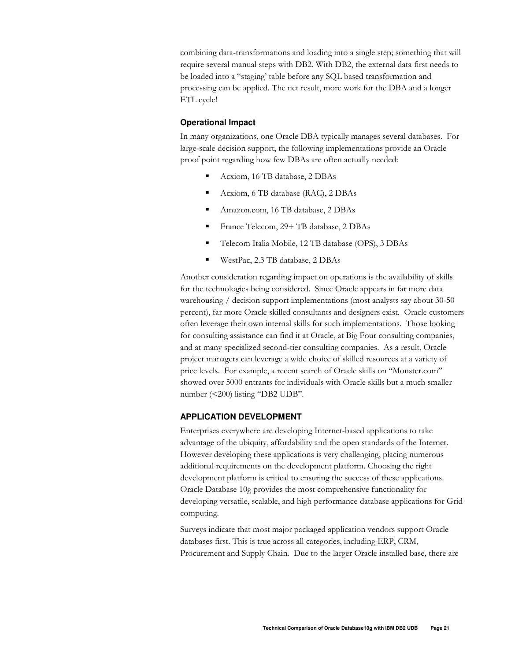combining data-transformations and loading into a single step; something that will require several manual steps with DB2. With DB2, the external data first needs to be loaded into a "staging' table before any SQL based transformation and processing can be applied. The net result, more work for the DBA and a longer ETL cycle!

# **Operational Impact**

In many organizations, one Oracle DBA typically manages several databases. For large-scale decision support, the following implementations provide an Oracle proof point regarding how few DBAs are often actually needed:

- Acxiom, 16 TB database, 2 DBAs
- $\blacksquare$ Acxiom, 6 TB database (RAC), 2 DBAs
- Amazon.com, 16 TB database, 2 DBAs
- France Telecom, 29+ TB database, 2 DBAs  $\blacksquare$
- $\blacksquare$ Telecom Italia Mobile, 12 TB database (OPS), 3 DBAs
- $\blacksquare$ WestPac, 2.3 TB database, 2 DBAs

Another consideration regarding impact on operations is the availability of skills for the technologies being considered. Since Oracle appears in far more data warehousing / decision support implementations (most analysts say about 30-50 percent), far more Oracle skilled consultants and designers exist. Oracle customers often leverage their own internal skills for such implementations. Those looking for consulting assistance can find it at Oracle, at Big Four consulting companies, and at many specialized second-tier consulting companies. As a result, Oracle project managers can leverage a wide choice of skilled resources at a variety of price levels. For example, a recent search of Oracle skills on "Monster.com" showed over 5000 entrants for individuals with Oracle skills but a much smaller number (<200) listing "DB2 UDB".

## **APPLICATION DEVELOPMENT**

Enterprises everywhere are developing Internet-based applications to take advantage of the ubiquity, affordability and the open standards of the Internet. However developing these applications is very challenging, placing numerous additional requirements on the development platform. Choosing the right development platform is critical to ensuring the success of these applications. Oracle Database 10g provides the most comprehensive functionality for developing versatile, scalable, and high performance database applications for Grid computing.

Surveys indicate that most major packaged application vendors support Oracle databases first. This is true across all categories, including ERP, CRM, Procurement and Supply Chain. Due to the larger Oracle installed base, there are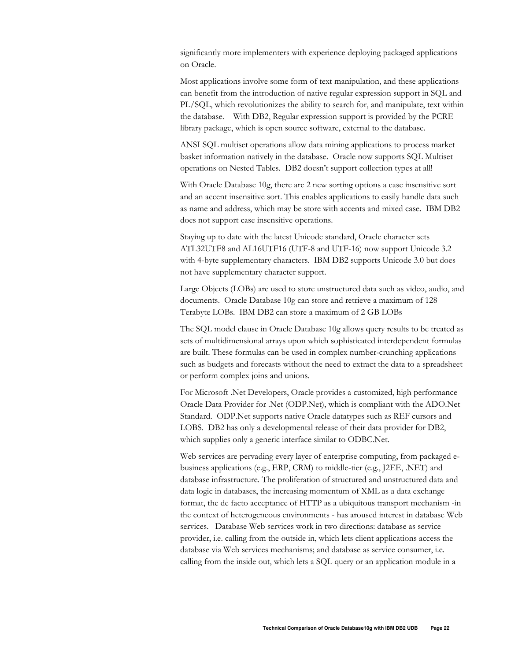significantly more implementers with experience deploying packaged applications on Oracle.

Most applications involve some form of text manipulation, and these applications can benefit from the introduction of native regular expression support in SQL and PL/SQL, which revolutionizes the ability to search for, and manipulate, text within the database. With DB2, Regular expression support is provided by the PCRE library package, which is open source software, external to the database.

ANSI SQL multiset operations allow data mining applications to process market basket information natively in the database. Oracle now supports SQL Multiset operations on Nested Tables. DB2 doesn't support collection types at all!

With Oracle Database 10g, there are 2 new sorting options a case insensitive sort and an accent insensitive sort. This enables applications to easily handle data such as name and address, which may be store with accents and mixed case. IBM DB2 does not support case insensitive operations.

Staying up to date with the latest Unicode standard, Oracle character sets ATL32UTF8 and AL16UTF16 (UTF-8 and UTF-16) now support Unicode 3.2 with 4-byte supplementary characters. IBM DB2 supports Unicode 3.0 but does not have supplementary character support.

Large Objects (LOBs) are used to store unstructured data such as video, audio, and documents. Oracle Database 10g can store and retrieve a maximum of 128 Terabyte LOBs. IBM DB2 can store a maximum of 2 GB LOBs

The SQL model clause in Oracle Database 10g allows query results to be treated as sets of multidimensional arrays upon which sophisticated interdependent formulas are built. These formulas can be used in complex number-crunching applications such as budgets and forecasts without the need to extract the data to a spreadsheet or perform complex joins and unions.

For Microsoft .Net Developers, Oracle provides a customized, high performance Oracle Data Provider for .Net (ODP.Net), which is compliant with the ADO.Net Standard. ODP. Net supports native Oracle datatypes such as REF cursors and LOBS. DB2 has only a developmental release of their data provider for DB2, which supplies only a generic interface similar to ODBC.Net.

Web services are pervading every layer of enterprise computing, from packaged ebusiness applications (e.g., ERP, CRM) to middle-tier (e.g., J2EE, .NET) and database infrastructure. The proliferation of structured and unstructured data and data logic in databases, the increasing momentum of XML as a data exchange format, the de facto acceptance of HTTP as a ubiquitous transport mechanism -in the context of heterogeneous environments - has aroused interest in database Web services. Database Web services work in two directions: database as service provider, i.e. calling from the outside in, which lets client applications access the database via Web services mechanisms; and database as service consumer, i.e. calling from the inside out, which lets a SQL query or an application module in a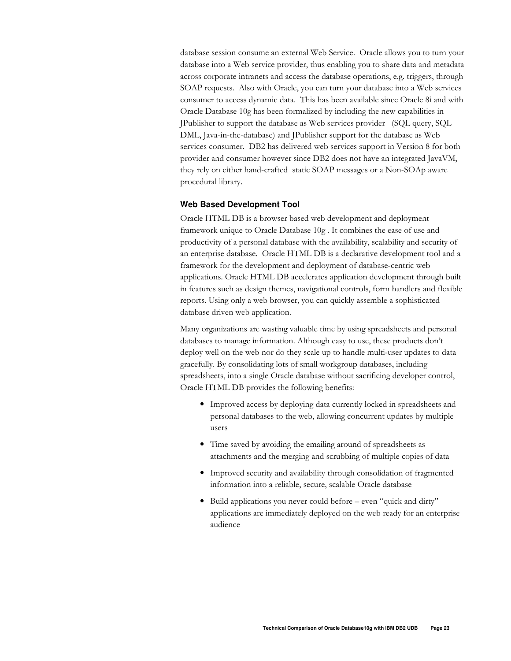database session consume an external Web Service. Oracle allows you to turn your database into a Web service provider, thus enabling you to share data and metadata across corporate intranets and access the database operations, e.g. triggers, through SOAP requests. Also with Oracle, you can turn your database into a Web services consumer to access dynamic data. This has been available since Oracle 8i and with Oracle Database 10g has been formalized by including the new capabilities in JPublisher to support the database as Web services provider (SQL query, SQL DML, Java-in-the-database) and JPublisher support for the database as Web services consumer. DB2 has delivered web services support in Version 8 for both provider and consumer however since DB2 does not have an integrated JavaVM, they rely on either hand-crafted static SOAP messages or a Non-SOAp aware procedural library.

# **Web Based Development Tool**

Oracle HTML DB is a browser based web development and deployment framework unique to Oracle Database 10g. It combines the ease of use and productivity of a personal database with the availability, scalability and security of an enterprise database. Oracle HTML DB is a declarative development tool and a framework for the development and deployment of database-centric web applications. Oracle HTML DB accelerates application development through built in features such as design themes, navigational controls, form handlers and flexible reports. Using only a web browser, you can quickly assemble a sophisticated database driven web application.

Many organizations are wasting valuable time by using spreadsheets and personal databases to manage information. Although easy to use, these products don't deploy well on the web nor do they scale up to handle multi-user updates to data gracefully. By consolidating lots of small workgroup databases, including spreadsheets, into a single Oracle database without sacrificing developer control, Oracle HTML DB provides the following benefits:

- Improved access by deploying data currently locked in spreadsheets and personal databases to the web, allowing concurrent updates by multiple users
- Time saved by avoiding the emailing around of spreadsheets as attachments and the merging and scrubbing of multiple copies of data
- Improved security and availability through consolidation of fragmented information into a reliable, secure, scalable Oracle database
- · Build applications you never could before even "quick and dirty" applications are immediately deployed on the web ready for an enterprise audience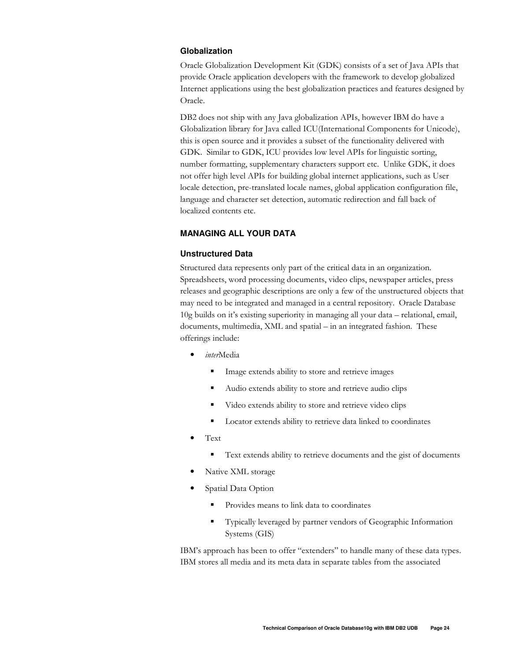# Globalization

Oracle Globalization Development Kit (GDK) consists of a set of Java APIs that provide Oracle application developers with the framework to develop globalized Internet applications using the best globalization practices and features designed by Oracle.

DB2 does not ship with any Java globalization APIs, however IBM do have a Globalization library for Java called ICU(International Components for Unicode), this is open source and it provides a subset of the functionality delivered with GDK. Similar to GDK, ICU provides low level APIs for linguistic sorting, number formatting, supplementary characters support etc. Unlike GDK, it does not offer high level APIs for building global internet applications, such as User locale detection, pre-translated locale names, global application configuration file, language and character set detection, automatic redirection and fall back of localized contents etc.

# **MANAGING ALL YOUR DATA**

# **Unstructured Data**

Structured data represents only part of the critical data in an organization. Spreadsheets, word processing documents, video clips, newspaper articles, press releases and geographic descriptions are only a few of the unstructured objects that may need to be integrated and managed in a central repository. Oracle Database 10g builds on it's existing superiority in managing all your data – relational, email, documents, multimedia, XML and spatial - in an integrated fashion. These offerings include:

- interMedia
	- $\blacksquare$ Image extends ability to store and retrieve images
	- Audio extends ability to store and retrieve audio clips  $\blacksquare$
	- Video extends ability to store and retrieve video clips ٠
	- Locator extends ability to retrieve data linked to coordinates
- Text
	- $\blacksquare$ Text extends ability to retrieve documents and the gist of documents
- Native XML storage
- Spatial Data Option
	- Provides means to link data to coordinates
	- Typically leveraged by partner vendors of Geographic Information Systems (GIS)

IBM's approach has been to offer "extenders" to handle many of these data types. IBM stores all media and its meta data in separate tables from the associated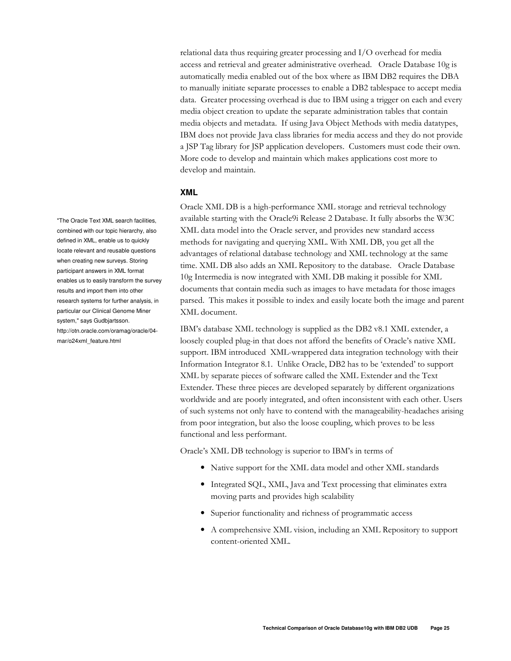relational data thus requiring greater processing and I/O overhead for media access and retrieval and greater administrative overhead. Oracle Database 10g is automatically media enabled out of the box where as IBM DB2 requires the DBA to manually initiate separate processes to enable a DB2 tablespace to accept media data. Greater processing overhead is due to IBM using a trigger on each and every media object creation to update the separate administration tables that contain media objects and metadata. If using Java Object Methods with media datatypes, IBM does not provide Java class libraries for media access and they do not provide a JSP Tag library for JSP application developers. Customers must code their own. More code to develop and maintain which makes applications cost more to develop and maintain.

# **XML**

Oracle XML DB is a high-performance XML storage and retrieval technology available starting with the Oracle9i Release 2 Database. It fully absorbs the W3C XML data model into the Oracle server, and provides new standard access methods for navigating and querying XML. With XML DB, you get all the advantages of relational database technology and XML technology at the same time. XML DB also adds an XML Repository to the database. Oracle Database 10g Intermedia is now integrated with XML DB making it possible for XML documents that contain media such as images to have metadata for those images parsed. This makes it possible to index and easily locate both the image and parent XML document.

IBM's database XML technology is supplied as the DB2 v8.1 XML extender, a loosely coupled plug-in that does not afford the benefits of Oracle's native XML support. IBM introduced XML-wrappered data integration technology with their Information Integrator 8.1. Unlike Oracle, DB2 has to be 'extended' to support XML by separate pieces of software called the XML Extender and the Text Extender. These three pieces are developed separately by different organizations worldwide and are poorly integrated, and often inconsistent with each other. Users of such systems not only have to contend with the manageability-headaches arising from poor integration, but also the loose coupling, which proves to be less functional and less performant.

Oracle's XML DB technology is superior to IBM's in terms of

- Native support for the XML data model and other XML standards
- Integrated SQL, XML, Java and Text processing that eliminates extra moving parts and provides high scalability
- Superior functionality and richness of programmatic access
- A comprehensive XML vision, including an XML Repository to support content-oriented XML.

"The Oracle Text XML search facilities, combined with our topic hierarchy, also defined in XML, enable us to quickly locate relevant and reusable questions when creating new surveys. Storing participant answers in XML format enables us to easily transform the survey results and import them into other research systems for further analysis, in particular our Clinical Genome Miner system," says Gudbjartsson. http://otn.oracle.com/oramag/oracle/04 mar/o24xml\_feature.html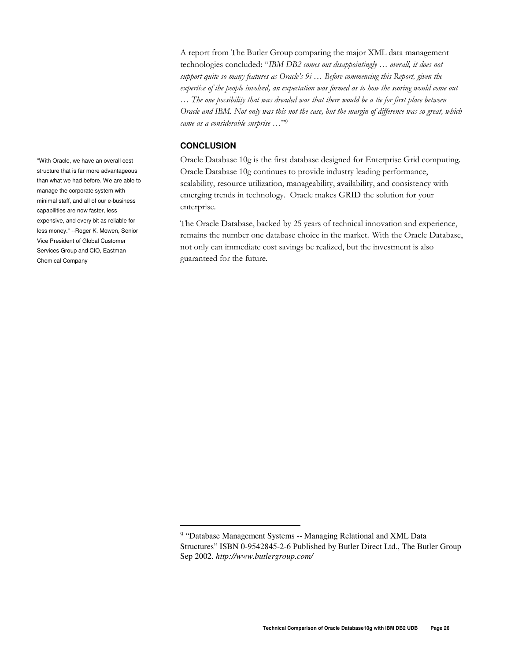A report from The Butler Group comparing the major XML data management technologies concluded: "IBM DB2 comes out disappointingly ... overall, it does not support quite so many features as Oracle's  $9i$ ... Before commencing this Report, given the expertise of the people involved, an expectation was formed as to how the scoring would come out ... The one possibility that was dreaded was that there would be a tie for first place between Oracle and IBM. Not only was this not the case, but the margin of difference was so great, which came as a considerable surprise ..."<sup>9</sup>

# **CONCLUSION**

Oracle Database 10g is the first database designed for Enterprise Grid computing. Oracle Database 10g continues to provide industry leading performance, scalability, resource utilization, manageability, availability, and consistency with emerging trends in technology. Oracle makes GRID the solution for your enterprise.

The Oracle Database, backed by 25 years of technical innovation and experience, remains the number one database choice in the market. With the Oracle Database, not only can immediate cost savings be realized, but the investment is also guaranteed for the future.

"With Oracle, we have an overall cost structure that is far more advantageous than what we had before. We are able to manage the corporate system with minimal staff, and all of our e-business capabilities are now faster, less expensive, and every bit as reliable for less money." --Roger K. Mowen, Senior Vice President of Global Customer Services Group and CIO, Eastman **Chemical Company** 

<sup>&</sup>lt;sup>9</sup> "Database Management Systems -- Managing Relational and XML Data Structures" ISBN 0-9542845-2-6 Published by Butler Direct Ltd., The Butler Group Sep 2002. http://www.butlergroup.com/